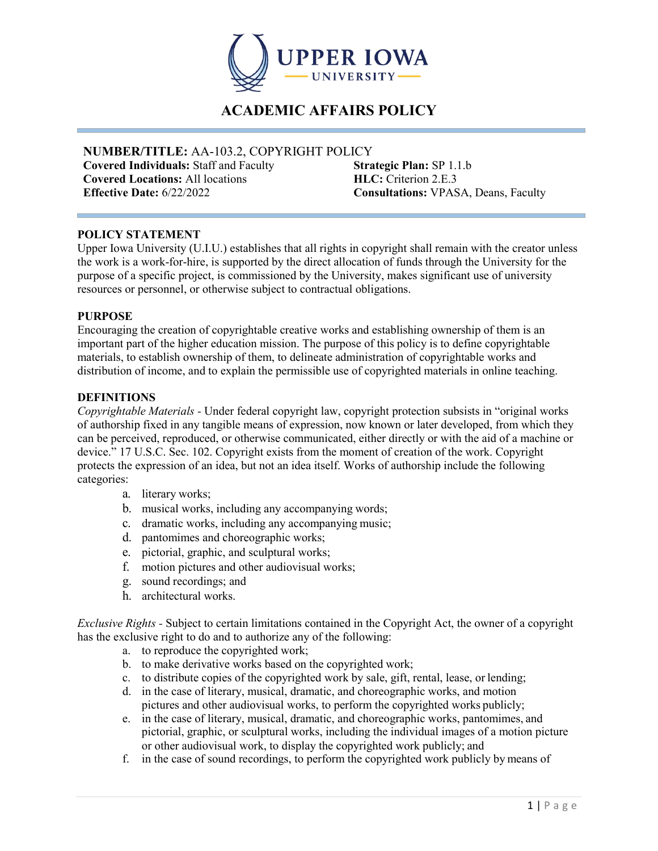

# **ACADEMIC AFFAIRS POLICY**

# **NUMBER/TITLE:** AA-103.2, COPYRIGHT POLICY

**Covered Individuals:** Staff and Faculty **Covered Locations:** All locations **Effective Date:** 6/22/2022 **Consultations:** VPASA, Deans, Faculty

**Strategic Plan:** SP 1.1.b **HLC:** Criterion 2.E.3

## **POLICY STATEMENT**

Upper Iowa University (U.I.U.) establishes that all rights in copyright shall remain with the creator unless the work is a work-for-hire, is supported by the direct allocation of funds through the University for the purpose of a specific project, is commissioned by the University, makes significant use of university resources or personnel, or otherwise subject to contractual obligations.

#### **PURPOSE**

Encouraging the creation of copyrightable creative works and establishing ownership of them is an important part of the higher education mission. The purpose of this policy is to define copyrightable materials, to establish ownership of them, to delineate administration of copyrightable works and distribution of income, and to explain the permissible use of copyrighted materials in online teaching.

## **DEFINITIONS**

*Copyrightable Materials -* Under federal copyright law, copyright protection subsists in "original works of authorship fixed in any tangible means of expression, now known or later developed, from which they can be perceived, reproduced, or otherwise communicated, either directly or with the aid of a machine or device." 17 U.S.C. Sec. 102. Copyright exists from the moment of creation of the work. Copyright protects the expression of an idea, but not an idea itself. Works of authorship include the following categories:

- a. literary works;
- b. musical works, including any accompanying words;
- c. dramatic works, including any accompanying music;
- d. pantomimes and choreographic works;
- e. pictorial, graphic, and sculptural works;
- f. motion pictures and other audiovisual works;
- g. sound recordings; and
- h. architectural works.

*Exclusive Rights -* Subject to certain limitations contained in the Copyright Act, the owner of a copyright has the exclusive right to do and to authorize any of the following:

- a. to reproduce the copyrighted work;
- b. to make derivative works based on the copyrighted work;
- c. to distribute copies of the copyrighted work by sale, gift, rental, lease, or lending;
- d. in the case of literary, musical, dramatic, and choreographic works, and motion pictures and other audiovisual works, to perform the copyrighted works publicly;
- e. in the case of literary, musical, dramatic, and choreographic works, pantomimes, and pictorial, graphic, or sculptural works, including the individual images of a motion picture or other audiovisual work, to display the copyrighted work publicly; and
- f. in the case of sound recordings, to perform the copyrighted work publicly by means of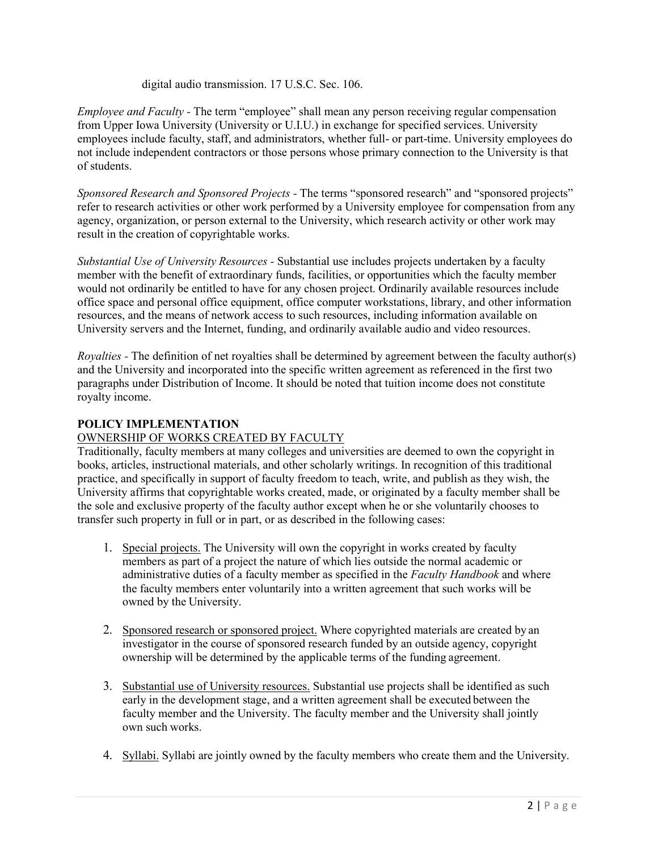digital audio transmission. 17 U.S.C. Sec. 106.

*Employee and Faculty -* The term "employee" shall mean any person receiving regular compensation from Upper Iowa University (University or U.I.U.) in exchange for specified services. University employees include faculty, staff, and administrators, whether full- or part-time. University employees do not include independent contractors or those persons whose primary connection to the University is that of students.

*Sponsored Research and Sponsored Projects -* The terms "sponsored research" and "sponsored projects" refer to research activities or other work performed by a University employee for compensation from any agency, organization, or person external to the University, which research activity or other work may result in the creation of copyrightable works.

*Substantial Use of University Resources -* Substantial use includes projects undertaken by a faculty member with the benefit of extraordinary funds, facilities, or opportunities which the faculty member would not ordinarily be entitled to have for any chosen project. Ordinarily available resources include office space and personal office equipment, office computer workstations, library, and other information resources, and the means of network access to such resources, including information available on University servers and the Internet, funding, and ordinarily available audio and video resources.

*Royalties -* The definition of net royalties shall be determined by agreement between the faculty author(s) and the University and incorporated into the specific written agreement as referenced in the first two paragraphs under Distribution of Income. It should be noted that tuition income does not constitute royalty income.

# **POLICY IMPLEMENTATION**

# OWNERSHIP OF WORKS CREATED BY FACULTY

Traditionally, faculty members at many colleges and universities are deemed to own the copyright in books, articles, instructional materials, and other scholarly writings. In recognition of this traditional practice, and specifically in support of faculty freedom to teach, write, and publish as they wish, the University affirms that copyrightable works created, made, or originated by a faculty member shall be the sole and exclusive property of the faculty author except when he or she voluntarily chooses to transfer such property in full or in part, or as described in the following cases:

- 1. Special projects. The University will own the copyright in works created by faculty members as part of a project the nature of which lies outside the normal academic or administrative duties of a faculty member as specified in the *Faculty Handbook* and where the faculty members enter voluntarily into a written agreement that such works will be owned by the University.
- 2. Sponsored research or sponsored project. Where copyrighted materials are created by an investigator in the course of sponsored research funded by an outside agency, copyright ownership will be determined by the applicable terms of the funding agreement.
- 3. Substantial use of University resources. Substantial use projects shall be identified as such early in the development stage, and a written agreement shall be executed between the faculty member and the University. The faculty member and the University shall jointly own such works.
- 4. Syllabi. Syllabi are jointly owned by the faculty members who create them and the University.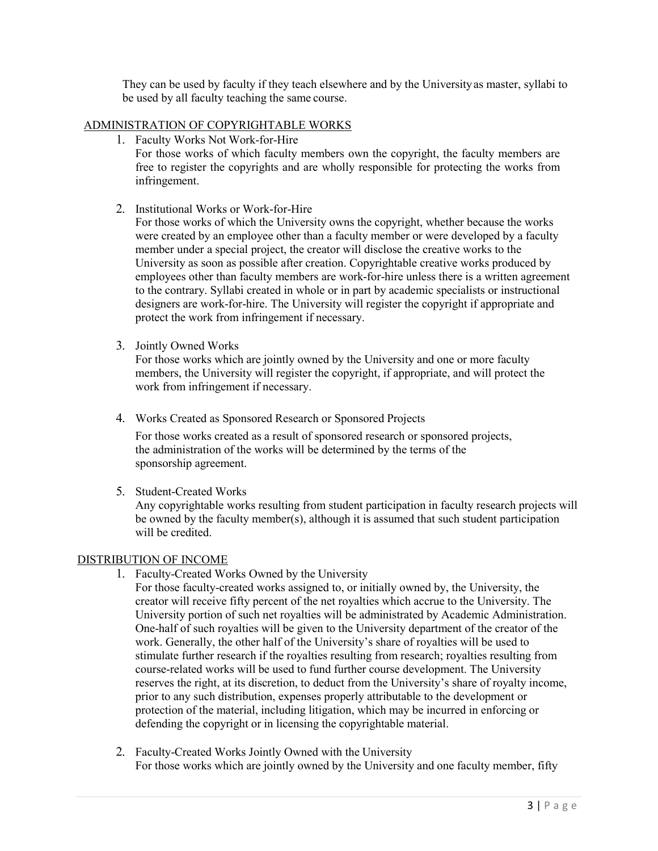They can be used by faculty if they teach elsewhere and by the Universityas master, syllabi to be used by all faculty teaching the same course.

## ADMINISTRATION OF COPYRIGHTABLE WORKS

- 1. Faculty Works Not Work-for-Hire For those works of which faculty members own the copyright, the faculty members are free to register the copyrights and are wholly responsible for protecting the works from infringement.
- 2. Institutional Works or Work-for-Hire

For those works of which the University owns the copyright, whether because the works were created by an employee other than a faculty member or were developed by a faculty member under a special project, the creator will disclose the creative works to the University as soon as possible after creation. Copyrightable creative works produced by employees other than faculty members are work-for-hire unless there is a written agreement to the contrary. Syllabi created in whole or in part by academic specialists or instructional designers are work-for-hire. The University will register the copyright if appropriate and protect the work from infringement if necessary.

3. Jointly Owned Works

For those works which are jointly owned by the University and one or more faculty members, the University will register the copyright, if appropriate, and will protect the work from infringement if necessary.

4. Works Created as Sponsored Research or Sponsored Projects

For those works created as a result of sponsored research or sponsored projects, the administration of the works will be determined by the terms of the sponsorship agreement.

5. Student-Created Works

Any copyrightable works resulting from student participation in faculty research projects will be owned by the faculty member(s), although it is assumed that such student participation will be credited.

#### DISTRIBUTION OF INCOME

1. Faculty-Created Works Owned by the University

For those faculty-created works assigned to, or initially owned by, the University, the creator will receive fifty percent of the net royalties which accrue to the University. The University portion of such net royalties will be administrated by Academic Administration. One-half of such royalties will be given to the University department of the creator of the work. Generally, the other half of the University's share of royalties will be used to stimulate further research if the royalties resulting from research; royalties resulting from course-related works will be used to fund further course development. The University reserves the right, at its discretion, to deduct from the University's share of royalty income, prior to any such distribution, expenses properly attributable to the development or protection of the material, including litigation, which may be incurred in enforcing or defending the copyright or in licensing the copyrightable material.

2. Faculty-Created Works Jointly Owned with the University For those works which are jointly owned by the University and one faculty member, fifty